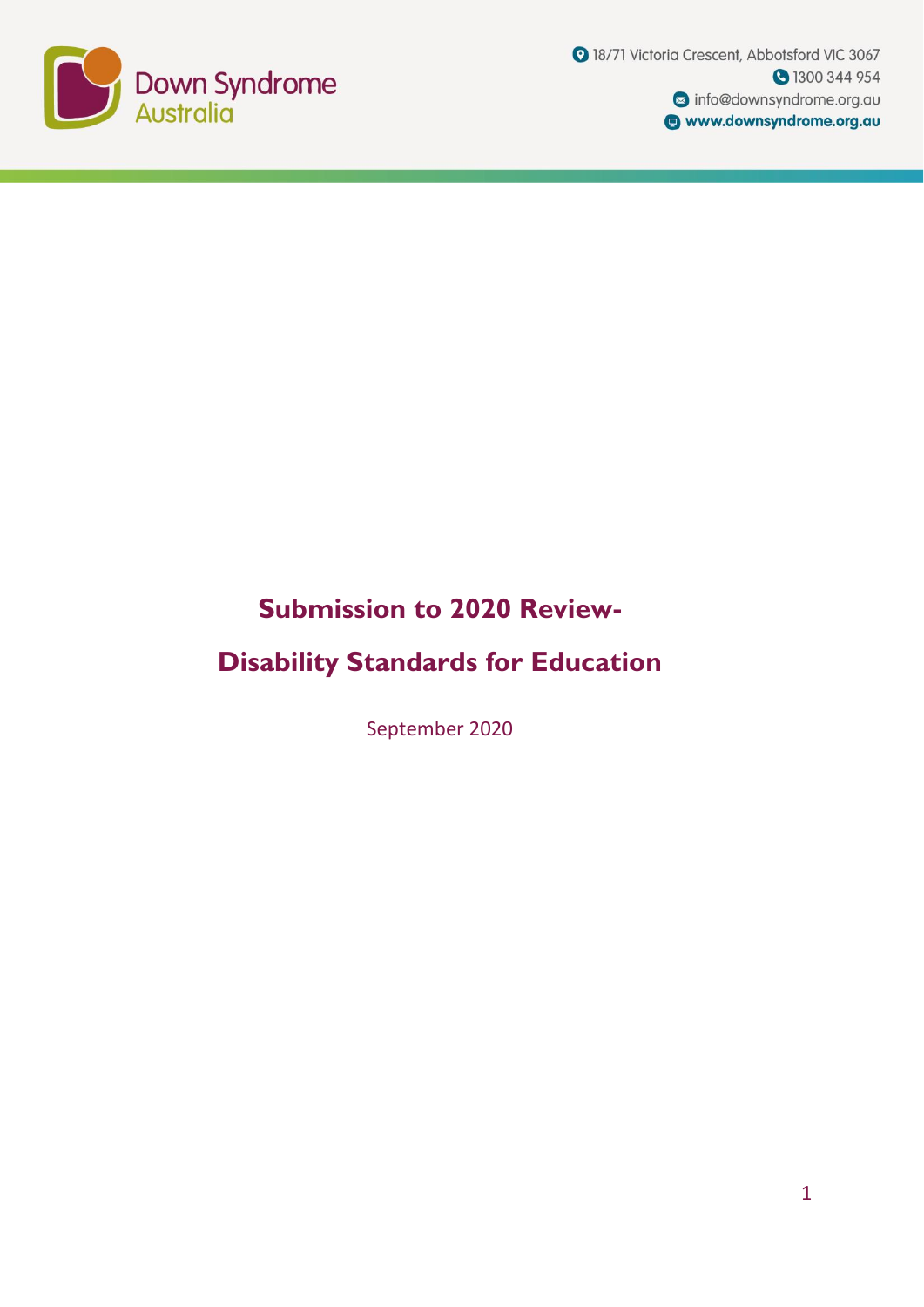

# **Submission to 2020 Review-**

# **Disability Standards for Education**

September 2020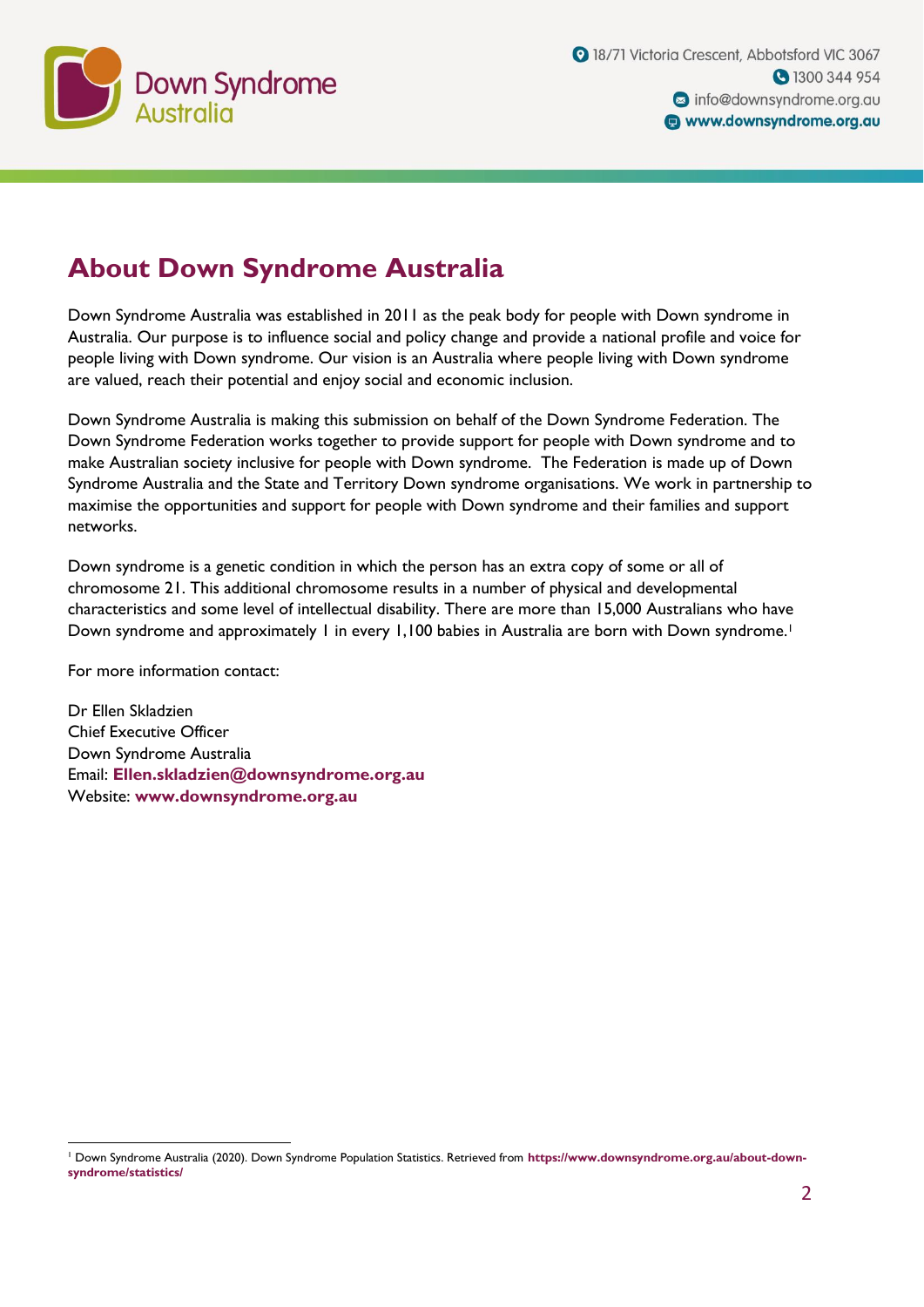

# **About Down Syndrome Australia**

Down Syndrome Australia was established in 2011 as the peak body for people with Down syndrome in Australia. Our purpose is to influence social and policy change and provide a national profile and voice for people living with Down syndrome. Our vision is an Australia where people living with Down syndrome are valued, reach their potential and enjoy social and economic inclusion.

Down Syndrome Australia is making this submission on behalf of the Down Syndrome Federation. The Down Syndrome Federation works together to provide support for people with Down syndrome and to make Australian society inclusive for people with Down syndrome. The Federation is made up of Down Syndrome Australia and the State and Territory Down syndrome organisations. We work in partnership to maximise the opportunities and support for people with Down syndrome and their families and support networks.

Down syndrome is a genetic condition in which the person has an extra copy of some or all of chromosome 21. This additional chromosome results in a number of physical and developmental characteristics and some level of intellectual disability. There are more than 15,000 Australians who have Down syndrome and approximately 1 in every 1,100 babies in Australia are born with Down syndrome.<sup>1</sup>

For more information contact:

Dr Ellen Skladzien Chief Executive Officer Down Syndrome Australia Email: **[Ellen.skladzien@downsyndrome.org.au](mailto:Ellen.skladzien@downsyndrome.org.au)** Website: **[www.downsyndrome.org.au](http://www.downsyndrome.org.au/)**

<sup>1</sup> Down Syndrome Australia (2020). Down Syndrome Population Statistics. Retrieved from **[https://www.downsyndrome.org.au/about-down](https://www.downsyndrome.org.au/about-down-syndrome/statistics/)[syndrome/statistics/](https://www.downsyndrome.org.au/about-down-syndrome/statistics/)**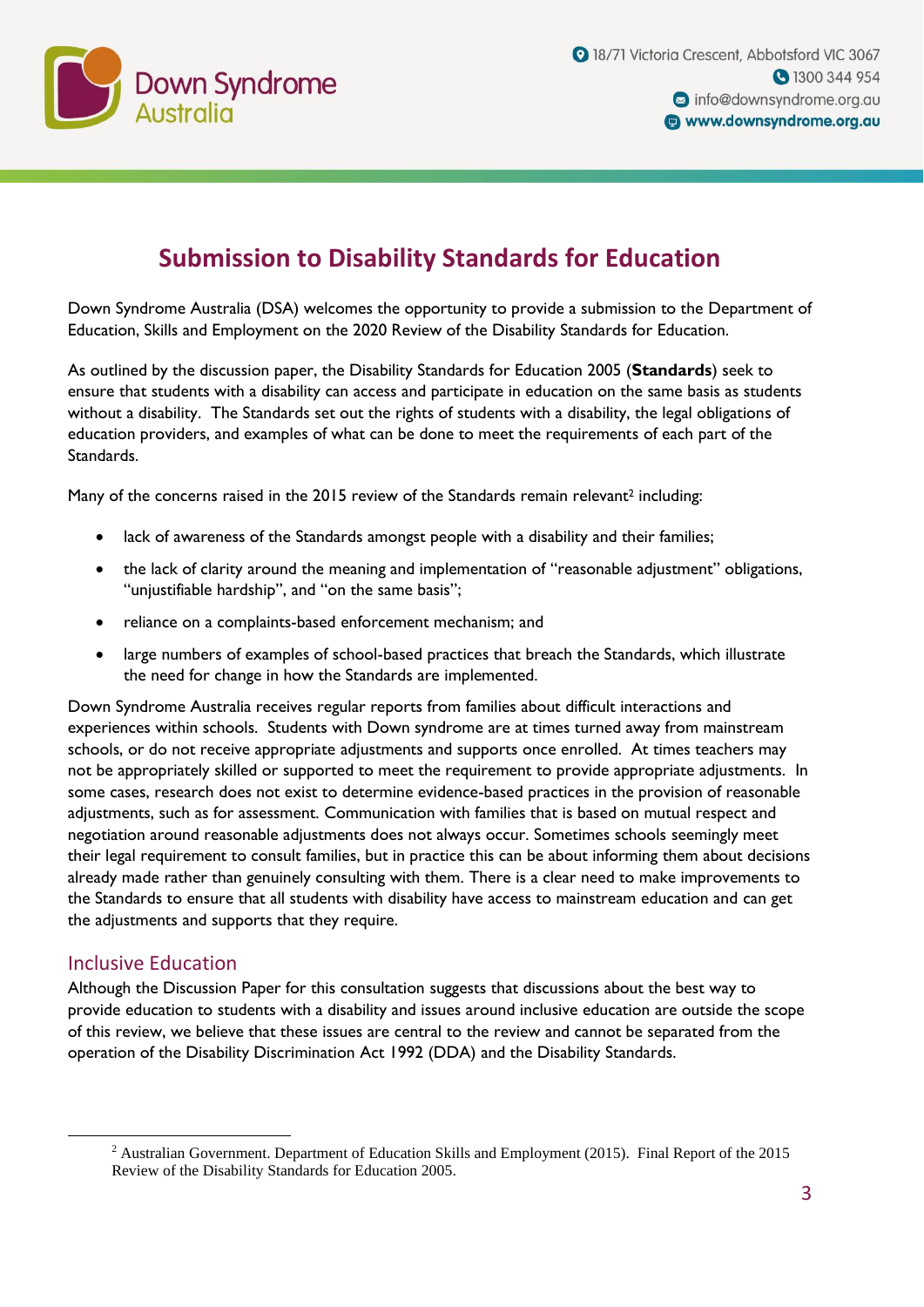

# **Submission to Disability Standards for Education**

Down Syndrome Australia (DSA) welcomes the opportunity to provide a submission to the Department of Education, Skills and Employment on the 2020 Review of the Disability Standards for Education.

As outlined by the discussion paper, the Disability Standards for Education 2005 (**Standards**) seek to ensure that students with a disability can access and participate in education on the same basis as students without a disability. The Standards set out the rights of students with a disability, the legal obligations of education providers, and examples of what can be done to meet the requirements of each part of the Standards.

Many of the concerns raised in the 2015 review of the Standards remain relevant<sup>2</sup> including:

- lack of awareness of the Standards amongst people with a disability and their families;
- the lack of clarity around the meaning and implementation of "reasonable adjustment" obligations, "unjustifiable hardship", and "on the same basis";
- reliance on a complaints-based enforcement mechanism; and
- large numbers of examples of school-based practices that breach the Standards, which illustrate the need for change in how the Standards are implemented.

Down Syndrome Australia receives regular reports from families about difficult interactions and experiences within schools. Students with Down syndrome are at times turned away from mainstream schools, or do not receive appropriate adjustments and supports once enrolled. At times teachers may not be appropriately skilled or supported to meet the requirement to provide appropriate adjustments. In some cases, research does not exist to determine evidence-based practices in the provision of reasonable adjustments, such as for assessment. Communication with families that is based on mutual respect and negotiation around reasonable adjustments does not always occur. Sometimes schools seemingly meet their legal requirement to consult families, but in practice this can be about informing them about decisions already made rather than genuinely consulting with them. There is a clear need to make improvements to the Standards to ensure that all students with disability have access to mainstream education and can get the adjustments and supports that they require.

### Inclusive Education

Although the Discussion Paper for this consultation suggests that discussions about the best way to provide education to students with a disability and issues around inclusive education are outside the scope of this review, we believe that these issues are central to the review and cannot be separated from the operation of the Disability Discrimination Act 1992 (DDA) and the Disability Standards.

<sup>&</sup>lt;sup>2</sup> Australian Government. Department of Education Skills and Employment (2015). Final Report of the 2015 Review of the Disability Standards for Education 2005.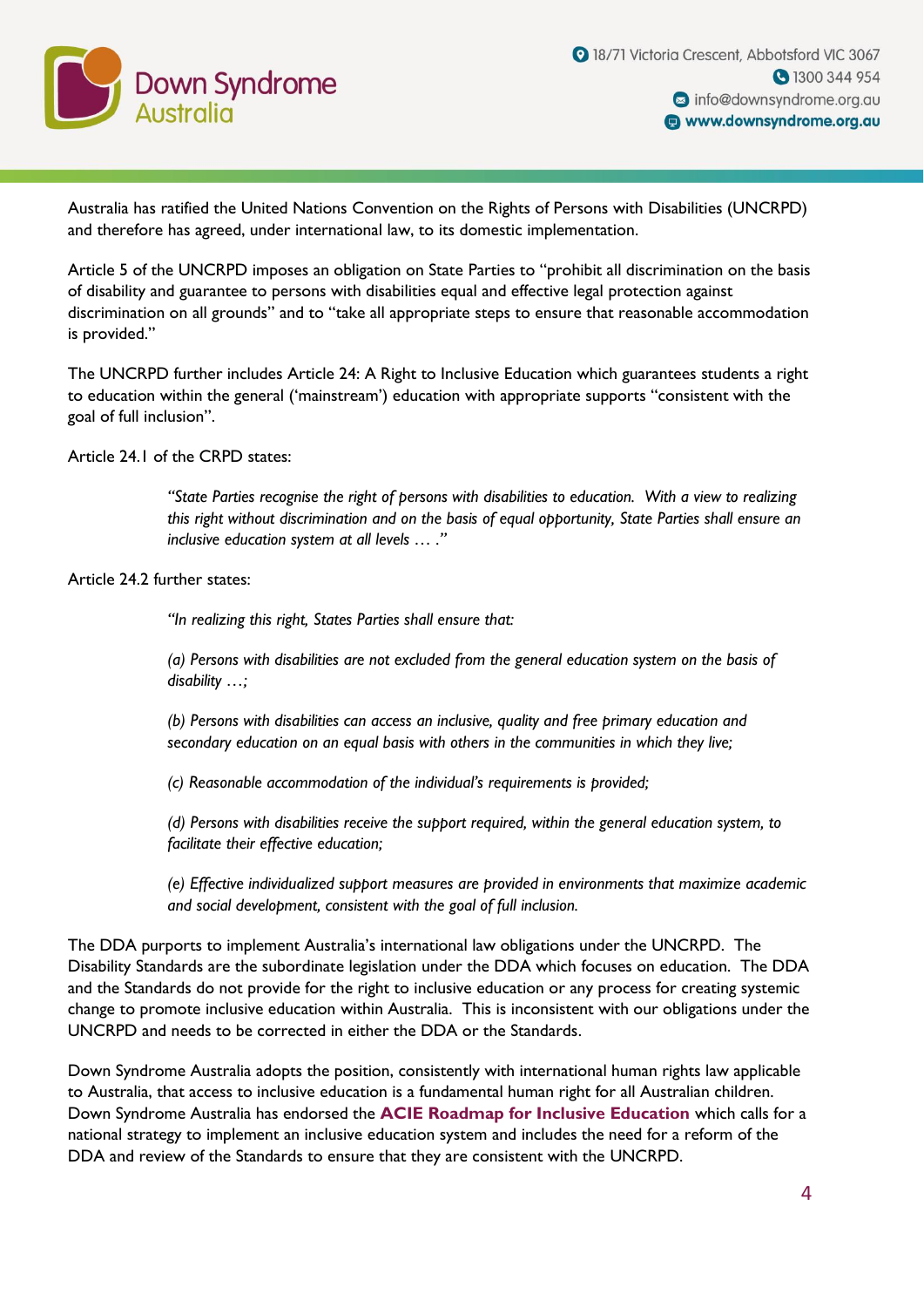

Australia has ratified the United Nations Convention on the Rights of Persons with Disabilities (UNCRPD) and therefore has agreed, under international law, to its domestic implementation.

Article 5 of the UNCRPD imposes an obligation on State Parties to "prohibit all discrimination on the basis of disability and guarantee to persons with disabilities equal and effective legal protection against discrimination on all grounds" and to "take all appropriate steps to ensure that reasonable accommodation is provided."

The UNCRPD further includes Article 24: A Right to Inclusive Education which guarantees students a right to education within the general ('mainstream') education with appropriate supports "consistent with the goal of full inclusion".

#### Article 24.1 of the CRPD states:

*"State Parties recognise the right of persons with disabilities to education. With a view to realizing this right without discrimination and on the basis of equal opportunity, State Parties shall ensure an inclusive education system at all levels … ."*

#### Article 24.2 further states:

*"In realizing this right, States Parties shall ensure that:* 

*(a) Persons with disabilities are not excluded from the general education system on the basis of disability …;* 

*(b) Persons with disabilities can access an inclusive, quality and free primary education and secondary education on an equal basis with others in the communities in which they live;* 

*(c) Reasonable accommodation of the individual's requirements is provided;* 

*(d) Persons with disabilities receive the support required, within the general education system, to facilitate their effective education;* 

*(e) Effective individualized support measures are provided in environments that maximize academic and social development, consistent with the goal of full inclusion.*

The DDA purports to implement Australia's international law obligations under the UNCRPD. The Disability Standards are the subordinate legislation under the DDA which focuses on education. The DDA and the Standards do not provide for the right to inclusive education or any process for creating systemic change to promote inclusive education within Australia. This is inconsistent with our obligations under the UNCRPD and needs to be corrected in either the DDA or the Standards.

Down Syndrome Australia adopts the position, consistently with international human rights law applicable to Australia, that access to inclusive education is a fundamental human right for all Australian children. Down Syndrome Australia has endorsed the **[ACIE Roadmap for Inclusive Education](https://acie105204494.files.wordpress.com/2020/07/acie-roadmap-updated-30-july.pdf)** which calls for a national strategy to implement an inclusive education system and includes the need for a reform of the DDA and review of the Standards to ensure that they are consistent with the UNCRPD.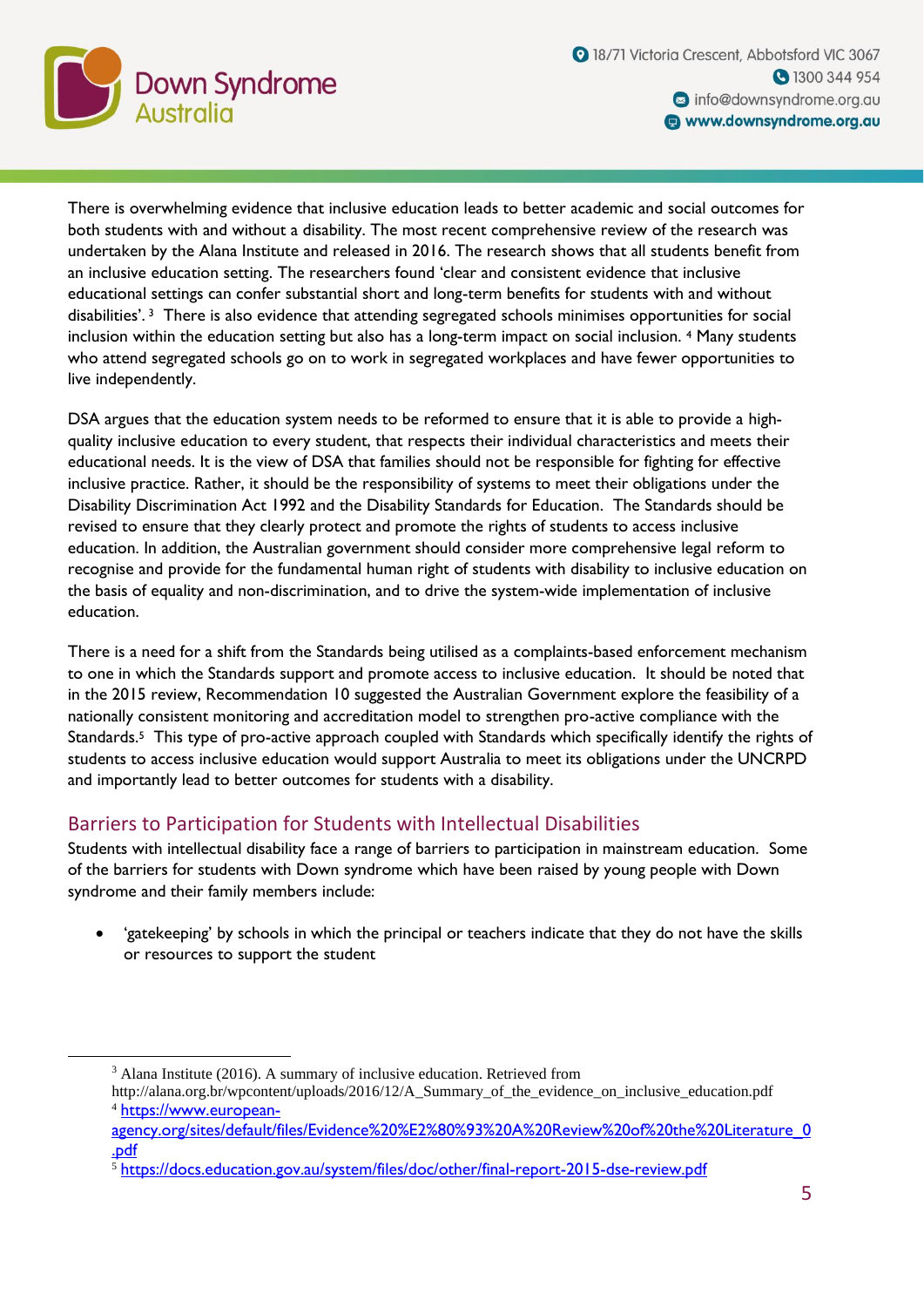

There is overwhelming evidence that inclusive education leads to better academic and social outcomes for both students with and without a disability. The most recent comprehensive review of the research was undertaken by the Alana Institute and released in 2016. The research shows that all students benefit from an inclusive education setting. The researchers found 'clear and consistent evidence that inclusive educational settings can confer substantial short and long-term benefits for students with and without disabilities'.<sup>3</sup> There is also evidence that attending segregated schools minimises opportunities for social inclusion within the education setting but also has a long-term impact on social inclusion. <sup>4</sup> Many students who attend segregated schools go on to work in segregated workplaces and have fewer opportunities to live independently.

DSA argues that the education system needs to be reformed to ensure that it is able to provide a highquality inclusive education to every student, that respects their individual characteristics and meets their educational needs. It is the view of DSA that families should not be responsible for fighting for effective inclusive practice. Rather, it should be the responsibility of systems to meet their obligations under the Disability Discrimination Act 1992 and the Disability Standards for Education. The Standards should be revised to ensure that they clearly protect and promote the rights of students to access inclusive education. In addition, the Australian government should consider more comprehensive legal reform to recognise and provide for the fundamental human right of students with disability to inclusive education on the basis of equality and non-discrimination, and to drive the system-wide implementation of inclusive education.

There is a need for a shift from the Standards being utilised as a complaints-based enforcement mechanism to one in which the Standards support and promote access to inclusive education. It should be noted that in the 2015 review, Recommendation 10 suggested the Australian Government explore the feasibility of a nationally consistent monitoring and accreditation model to strengthen pro-active compliance with the Standards.5 This type of pro-active approach coupled with Standards which specifically identify the rights of students to access inclusive education would support Australia to meet its obligations under the UNCRPD and importantly lead to better outcomes for students with a disability.

# Barriers to Participation for Students with Intellectual Disabilities

Students with intellectual disability face a range of barriers to participation in mainstream education. Some of the barriers for students with Down syndrome which have been raised by young people with Down syndrome and their family members include:

• 'gatekeeping' by schools in which the principal or teachers indicate that they do not have the skills or resources to support the student

<sup>&</sup>lt;sup>3</sup> Alana Institute (2016). A summary of inclusive education. Retrieved from

http://alana.org.br/wpcontent/uploads/2016/12/A\_Summary\_of\_the\_evidence\_on\_inclusive\_education.pdf <sup>4</sup> [https://www.european-](https://www.european-agency.org/sites/default/files/Evidence%20%E2%80%93%20A%20Review%20of%20the%20Literature_0.pdf)

[agency.org/sites/default/files/Evidence%20%E2%80%93%20A%20Review%20of%20the%20Literature\\_0](https://www.european-agency.org/sites/default/files/Evidence%20%E2%80%93%20A%20Review%20of%20the%20Literature_0.pdf) [.pdf](https://www.european-agency.org/sites/default/files/Evidence%20%E2%80%93%20A%20Review%20of%20the%20Literature_0.pdf)

<sup>5</sup> <https://docs.education.gov.au/system/files/doc/other/final-report-2015-dse-review.pdf>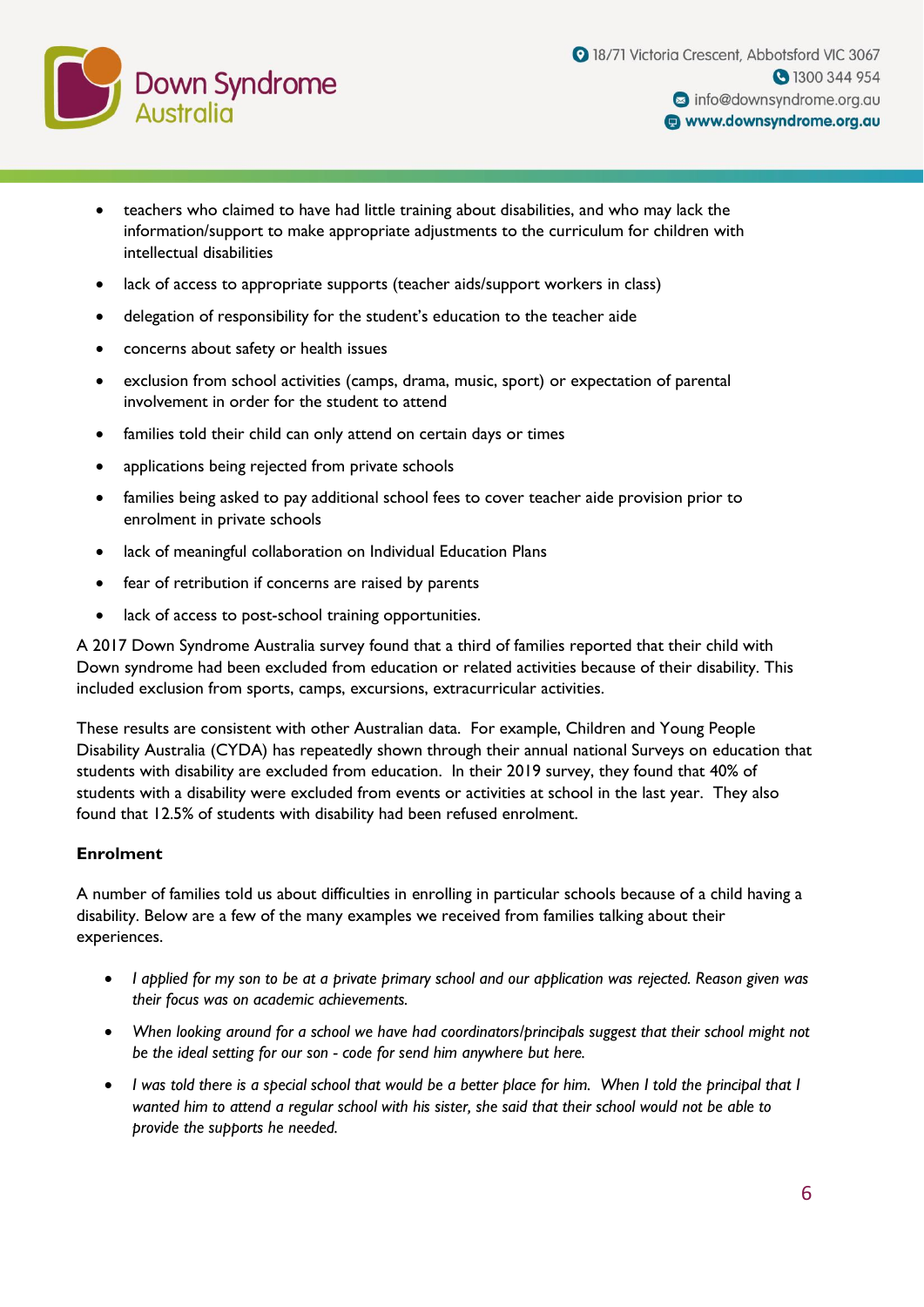

- teachers who claimed to have had little training about disabilities, and who may lack the information/support to make appropriate adjustments to the curriculum for children with intellectual disabilities
- lack of access to appropriate supports (teacher aids/support workers in class)
- delegation of responsibility for the student's education to the teacher aide
- concerns about safety or health issues
- exclusion from school activities (camps, drama, music, sport) or expectation of parental involvement in order for the student to attend
- families told their child can only attend on certain days or times
- applications being rejected from private schools
- families being asked to pay additional school fees to cover teacher aide provision prior to enrolment in private schools
- lack of meaningful collaboration on Individual Education Plans
- fear of retribution if concerns are raised by parents
- lack of access to post-school training opportunities.

A 2017 Down Syndrome Australia survey found that a third of families reported that their child with Down syndrome had been excluded from education or related activities because of their disability. This included exclusion from sports, camps, excursions, extracurricular activities.

These results are consistent with other Australian data. For example, Children and Young People Disability Australia (CYDA) has repeatedly shown through their annual national Surveys on education that students with disability are excluded from education. In their 2019 survey, they found that 40% of students with a disability were excluded from events or activities at school in the last year. They also found that 12.5% of students with disability had been refused enrolment.

### **Enrolment**

A number of families told us about difficulties in enrolling in particular schools because of a child having a disability. Below are a few of the many examples we received from families talking about their experiences.

- *I applied for my son to be at a private primary school and our application was rejected. Reason given was their focus was on academic achievements.*
- *When looking around for a school we have had coordinators/principals suggest that their school might not be the ideal setting for our son - code for send him anywhere but here.*
- *I was told there is a special school that would be a better place for him. When I told the principal that I wanted him to attend a regular school with his sister, she said that their school would not be able to provide the supports he needed.*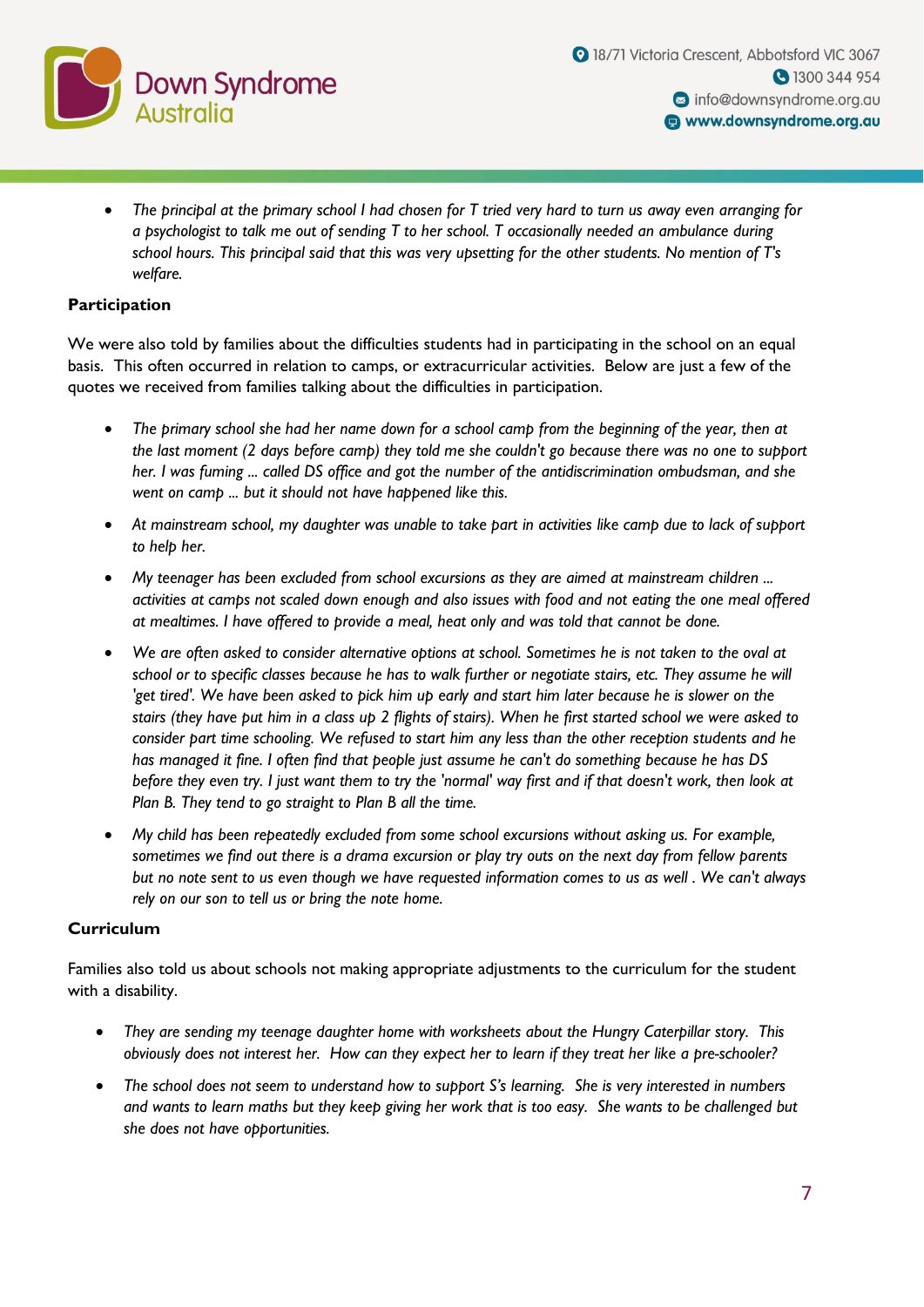

• *The principal at the primary school I had chosen for T tried very hard to turn us away even arranging for a psychologist to talk me out of sending T to her school. T occasionally needed an ambulance during school hours. This principal said that this was very upsetting for the other students. No mention of T's welfare.* 

## **Participation**

We were also told by families about the difficulties students had in participating in the school on an equal basis. This often occurred in relation to camps, or extracurricular activities. Below are just a few of the quotes we received from families talking about the difficulties in participation.

- *The primary school she had her name down for a school camp from the beginning of the year, then at the last moment (2 days before camp) they told me she couldn't go because there was no one to support her. I was fuming ... called DS office and got the number of the antidiscrimination ombudsman, and she went on camp ... but it should not have happened like this.*
- *At mainstream school, my daughter was unable to take part in activities like camp due to lack of support to help her.*
- *My teenager has been excluded from school excursions as they are aimed at mainstream children ... activities at camps not scaled down enough and also issues with food and not eating the one meal offered at mealtimes. I have offered to provide a meal, heat only and was told that cannot be done.*
- *We are often asked to consider alternative options at school. Sometimes he is not taken to the oval at*  school or to specific classes because he has to walk further or negotiate stairs, etc. They assume he will 'get tired'. We have been asked to pick him up early and start him later because he is slower on the *stairs (they have put him in a class up 2 flights of stairs). When he first started school we were asked to consider part time schooling. We refused to start him any less than the other reception students and he has managed it fine. I often find that people just assume he can't do something because he has DS before they even try. I just want them to try the 'normal' way first and if that doesn't work, then look at Plan B. They tend to go straight to Plan B all the time.*
- *My child has been repeatedly excluded from some school excursions without asking us. For example, sometimes we find out there is a drama excursion or play try outs on the next day from fellow parents but no note sent to us even though we have requested information comes to us as well . We can't always rely on our son to tell us or bring the note home.*

### **Curriculum**

Families also told us about schools not making appropriate adjustments to the curriculum for the student with a disability.

- *They are sending my teenage daughter home with worksheets about the Hungry Caterpillar story. This obviously does not interest her. How can they expect her to learn if they treat her like a pre-schooler?*
- *The school does not seem to understand how to support S's learning. She is very interested in numbers and wants to learn maths but they keep giving her work that is too easy. She wants to be challenged but she does not have opportunities.*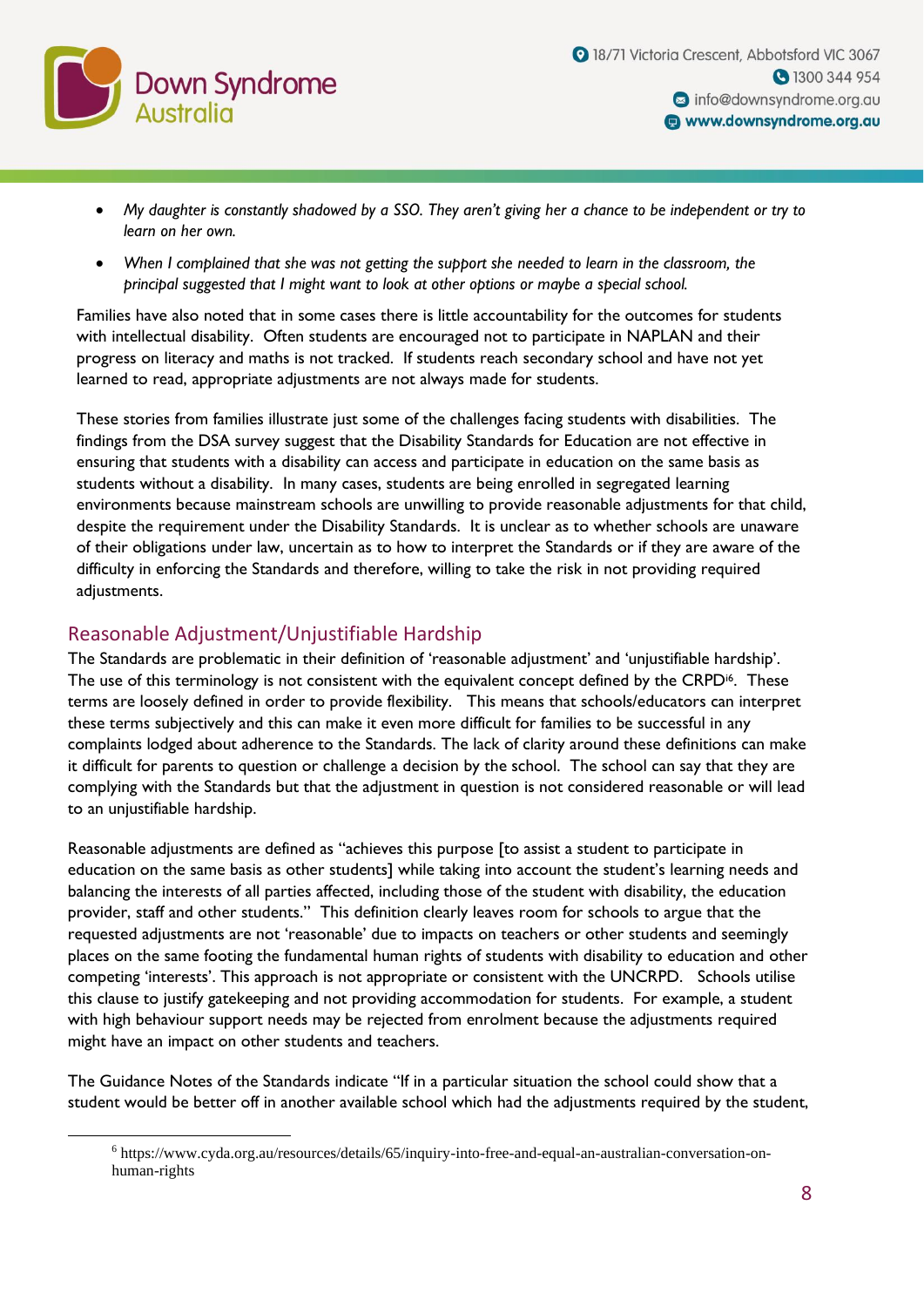

- *My daughter is constantly shadowed by a SSO. They aren't giving her a chance to be independent or try to learn on her own.*
- *When I complained that she was not getting the support she needed to learn in the classroom, the principal suggested that I might want to look at other options or maybe a special school.*

Families have also noted that in some cases there is little accountability for the outcomes for students with intellectual disability. Often students are encouraged not to participate in NAPLAN and their progress on literacy and maths is not tracked. If students reach secondary school and have not yet learned to read, appropriate adjustments are not always made for students.

These stories from families illustrate just some of the challenges facing students with disabilities. The findings from the DSA survey suggest that the Disability Standards for Education are not effective in ensuring that students with a disability can access and participate in education on the same basis as students without a disability. In many cases, students are being enrolled in segregated learning environments because mainstream schools are unwilling to provide reasonable adjustments for that child, despite the requirement under the Disability Standards. It is unclear as to whether schools are unaware of their obligations under law, uncertain as to how to interpret the Standards or if they are aware of the difficulty in enforcing the Standards and therefore, willing to take the risk in not providing required adjustments.

# Reasonable Adjustment/Unjustifiable Hardship

The Standards are problematic in their definition of 'reasonable adjustment' and 'unjustifiable hardship'. The use of this terminology is not consistent with the equivalent concept defined by the CRPD<sup>16</sup>. These terms are loosely defined in order to provide flexibility. This means that schools/educators can interpret these terms subjectively and this can make it even more difficult for families to be successful in any complaints lodged about adherence to the Standards. The lack of clarity around these definitions can make it difficult for parents to question or challenge a decision by the school. The school can say that they are complying with the Standards but that the adjustment in question is not considered reasonable or will lead to an unjustifiable hardship.

Reasonable adjustments are defined as "achieves this purpose [to assist a student to participate in education on the same basis as other students] while taking into account the student's learning needs and balancing the interests of all parties affected, including those of the student with disability, the education provider, staff and other students." This definition clearly leaves room for schools to argue that the requested adjustments are not 'reasonable' due to impacts on teachers or other students and seemingly places on the same footing the fundamental human rights of students with disability to education and other competing 'interests'. This approach is not appropriate or consistent with the UNCRPD. Schools utilise this clause to justify gatekeeping and not providing accommodation for students. For example, a student with high behaviour support needs may be rejected from enrolment because the adjustments required might have an impact on other students and teachers.

The Guidance Notes of the Standards indicate "If in a particular situation the school could show that a student would be better off in another available school which had the adjustments required by the student,

<sup>6</sup> https://www.cyda.org.au/resources/details/65/inquiry-into-free-and-equal-an-australian-conversation-onhuman-rights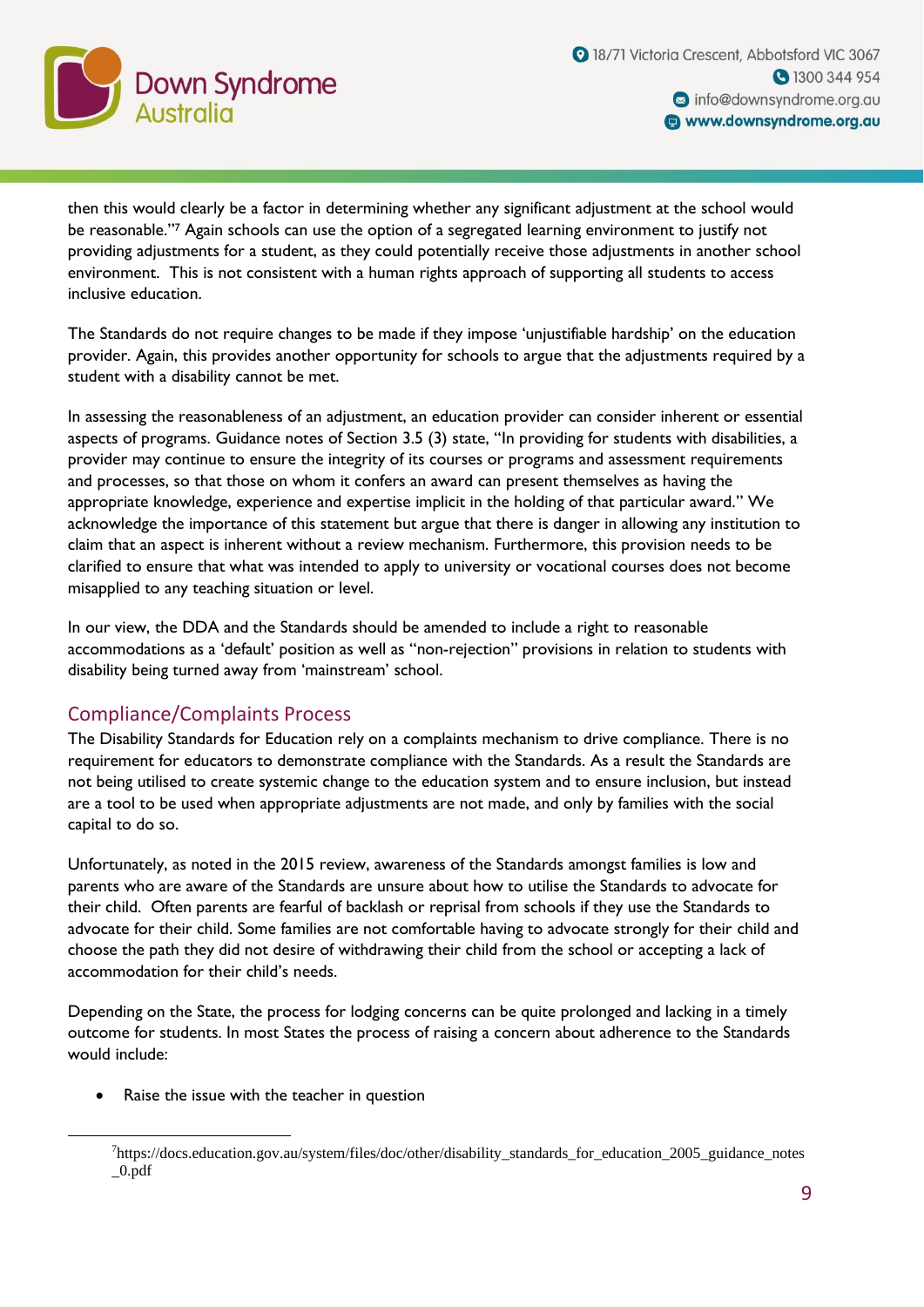

then this would clearly be a factor in determining whether any significant adjustment at the school would be reasonable."<sup>7</sup> Again schools can use the option of a segregated learning environment to justify not providing adjustments for a student, as they could potentially receive those adjustments in another school environment. This is not consistent with a human rights approach of supporting all students to access inclusive education.

The Standards do not require changes to be made if they impose 'unjustifiable hardship' on the education provider. Again, this provides another opportunity for schools to argue that the adjustments required by a student with a disability cannot be met.

In assessing the reasonableness of an adjustment, an education provider can consider inherent or essential aspects of programs. Guidance notes of Section 3.5 (3) state, "In providing for students with disabilities, a provider may continue to ensure the integrity of its courses or programs and assessment requirements and processes, so that those on whom it confers an award can present themselves as having the appropriate knowledge, experience and expertise implicit in the holding of that particular award." We acknowledge the importance of this statement but argue that there is danger in allowing any institution to claim that an aspect is inherent without a review mechanism. Furthermore, this provision needs to be clarified to ensure that what was intended to apply to university or vocational courses does not become misapplied to any teaching situation or level.

In our view, the DDA and the Standards should be amended to include a right to reasonable accommodations as a 'default' position as well as "non-rejection" provisions in relation to students with disability being turned away from 'mainstream' school.

## Compliance/Complaints Process

The Disability Standards for Education rely on a complaints mechanism to drive compliance. There is no requirement for educators to demonstrate compliance with the Standards. As a result the Standards are not being utilised to create systemic change to the education system and to ensure inclusion, but instead are a tool to be used when appropriate adjustments are not made, and only by families with the social capital to do so.

Unfortunately, as noted in the 2015 review, awareness of the Standards amongst families is low and parents who are aware of the Standards are unsure about how to utilise the Standards to advocate for their child. Often parents are fearful of backlash or reprisal from schools if they use the Standards to advocate for their child. Some families are not comfortable having to advocate strongly for their child and choose the path they did not desire of withdrawing their child from the school or accepting a lack of accommodation for their child's needs.

Depending on the State, the process for lodging concerns can be quite prolonged and lacking in a timely outcome for students. In most States the process of raising a concern about adherence to the Standards would include:

Raise the issue with the teacher in question

<sup>7</sup>https://docs.education.gov.au/system/files/doc/other/disability\_standards\_for\_education\_2005\_guidance\_notes \_0.pdf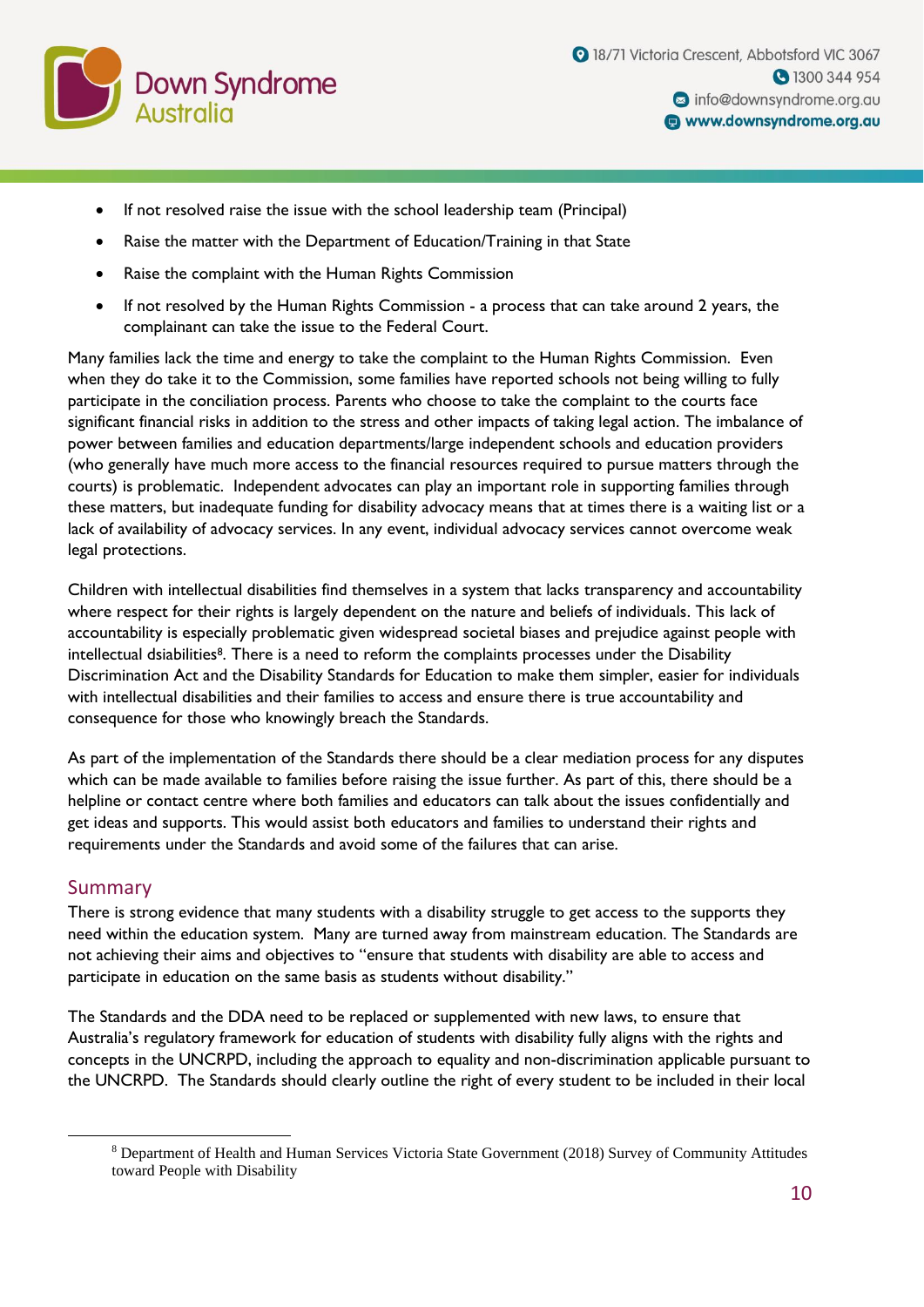

- If not resolved raise the issue with the school leadership team (Principal)
- Raise the matter with the Department of Education/Training in that State
- Raise the complaint with the Human Rights Commission
- If not resolved by the Human Rights Commission a process that can take around 2 years, the complainant can take the issue to the Federal Court.

Many families lack the time and energy to take the complaint to the Human Rights Commission. Even when they do take it to the Commission, some families have reported schools not being willing to fully participate in the conciliation process. Parents who choose to take the complaint to the courts face significant financial risks in addition to the stress and other impacts of taking legal action. The imbalance of power between families and education departments/large independent schools and education providers (who generally have much more access to the financial resources required to pursue matters through the courts) is problematic. Independent advocates can play an important role in supporting families through these matters, but inadequate funding for disability advocacy means that at times there is a waiting list or a lack of availability of advocacy services. In any event, individual advocacy services cannot overcome weak legal protections.

Children with intellectual disabilities find themselves in a system that lacks transparency and accountability where respect for their rights is largely dependent on the nature and beliefs of individuals. This lack of accountability is especially problematic given widespread societal biases and prejudice against people with intellectual dsiabilities<sup>8</sup>. There is a need to reform the complaints processes under the Disability Discrimination Act and the Disability Standards for Education to make them simpler, easier for individuals with intellectual disabilities and their families to access and ensure there is true accountability and consequence for those who knowingly breach the Standards.

As part of the implementation of the Standards there should be a clear mediation process for any disputes which can be made available to families before raising the issue further. As part of this, there should be a helpline or contact centre where both families and educators can talk about the issues confidentially and get ideas and supports. This would assist both educators and families to understand their rights and requirements under the Standards and avoid some of the failures that can arise.

### Summary

There is strong evidence that many students with a disability struggle to get access to the supports they need within the education system. Many are turned away from mainstream education. The Standards are not achieving their aims and objectives to "ensure that students with disability are able to access and participate in education on the same basis as students without disability."

The Standards and the DDA need to be replaced or supplemented with new laws, to ensure that Australia's regulatory framework for education of students with disability fully aligns with the rights and concepts in the UNCRPD, including the approach to equality and non-discrimination applicable pursuant to the UNCRPD. The Standards should clearly outline the right of every student to be included in their local

<sup>8</sup> Department of Health and Human Services Victoria State Government (2018) Survey of Community Attitudes toward People with Disability